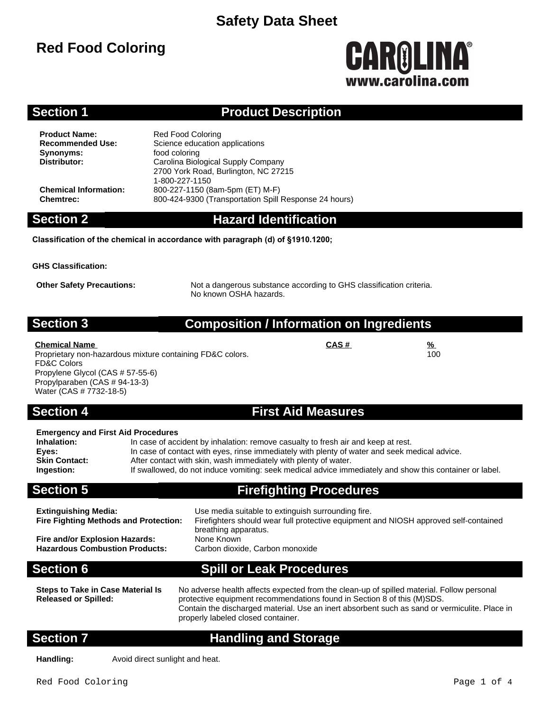# **Red Food Coloring**

# CAROLINA® www.carolina.co

100

## **Section 1 Product Description**

**Product Name:** Red Food Coloring<br> **Recommended Use:** Science education **Synonyms:** food coloring<br> **Distributor:** Carolina Biology

**Science education applications Distributor:** Carolina Biological Supply Company 2700 York Road, Burlington, NC 27215 1-800-227-1150 **Chemical Information:** 800-227-1150 (8am-5pm (ET) M-F) **Chemtrec:** 800-424-9300 (Transportation Spill Response 24 hours)

## **Section 2 Hazard Identification**

**Classification of the chemical in accordance with paragraph (d) of §1910.1200;**

**GHS Classification:**

**Other Safety Precautions:** Not a dangerous substance according to GHS classification criteria. No known OSHA hazards.

### **Section 3 Composition / Information on Ingredients**

#### **Chemical Name CAS # %**

Proprietary non-hazardous mixture containing FD&C colors. FD&C Colors Propylene Glycol (CAS # 57-55-6) Propylparaben (CAS # 94-13-3) Water (CAS # 7732-18-5)

### **Section 4 First Aid Measures**

| <b>Emergency and First Aid Procedures</b> |                                                                                                         |  |  |
|-------------------------------------------|---------------------------------------------------------------------------------------------------------|--|--|
| Inhalation:                               | In case of accident by inhalation: remove casualty to fresh air and keep at rest.                       |  |  |
| Eves:                                     | In case of contact with eyes, rinse immediately with plenty of water and seek medical advice.           |  |  |
| <b>Skin Contact:</b>                      | After contact with skin, wash immediately with plenty of water.                                         |  |  |
| Ingestion:                                | If swallowed, do not induce vomiting: seek medical advice immediately and show this container or label. |  |  |
|                                           |                                                                                                         |  |  |

**Section 5 Firefighting Procedures**

| <b>Extinguishing Media:</b><br><b>Fire Fighting Methods and Protection:</b> | Use media suitable to extinguish surrounding fire.<br>Firefighters should wear full protective equipment and NIOSH approved self-contained<br>breathing apparatus. |
|-----------------------------------------------------------------------------|--------------------------------------------------------------------------------------------------------------------------------------------------------------------|
| Fire and/or Explosion Hazards:                                              | None Known                                                                                                                                                         |
| <b>Hazardous Combustion Products:</b>                                       | Carbon dioxide, Carbon monoxide                                                                                                                                    |

## **Section 6 Spill or Leak Procedures**

**Steps to Take in Case Material Is Released or Spilled:**

No adverse health affects expected from the clean-up of spilled material. Follow personal protective equipment recommendations found in Section 8 of this (M)SDS. Contain the discharged material. Use an inert absorbent such as sand or vermiculite. Place in properly labeled closed container.

## **Section 7 Handling and Storage**

**Handling:** Avoid direct sunlight and heat.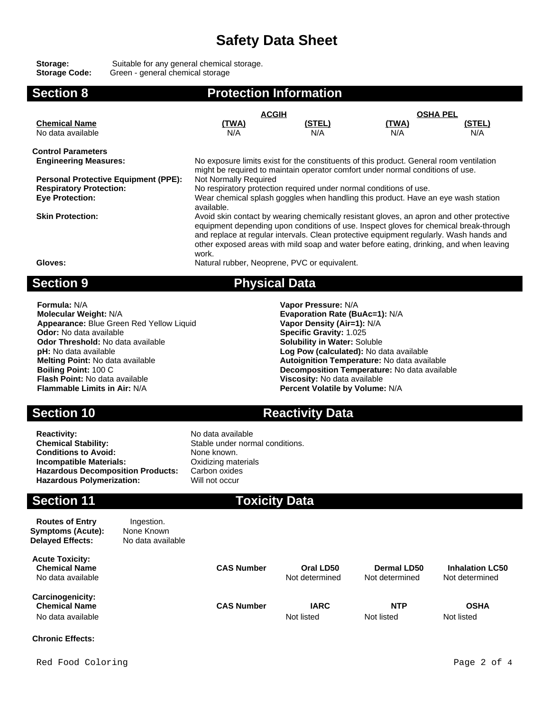**Storage:** Suitable for any general chemical storage. **Storage Code:** Green - general chemical storage

| <b>Section 8</b>                                                                                        | <b>Protection Information</b>                                                                                                                                                                                                                                                                                                                                                  |                      |                     |                      |  |
|---------------------------------------------------------------------------------------------------------|--------------------------------------------------------------------------------------------------------------------------------------------------------------------------------------------------------------------------------------------------------------------------------------------------------------------------------------------------------------------------------|----------------------|---------------------|----------------------|--|
|                                                                                                         | <b>ACGIH</b>                                                                                                                                                                                                                                                                                                                                                                   |                      | <b>OSHA PEL</b>     |                      |  |
| <b>Chemical Name</b><br>No data available                                                               | <u>(TWA)</u><br>N/A                                                                                                                                                                                                                                                                                                                                                            | <u>(STEL)</u><br>N/A | <u>(TWA)</u><br>N/A | <u>(STEL)</u><br>N/A |  |
| <b>Control Parameters</b>                                                                               |                                                                                                                                                                                                                                                                                                                                                                                |                      |                     |                      |  |
| <b>Engineering Measures:</b>                                                                            | No exposure limits exist for the constituents of this product. General room ventilation                                                                                                                                                                                                                                                                                        |                      |                     |                      |  |
| <b>Personal Protective Equipment (PPE):</b><br><b>Respiratory Protection:</b><br><b>Eye Protection:</b> | might be required to maintain operator comfort under normal conditions of use.<br>Not Normally Required<br>No respiratory protection required under normal conditions of use.<br>Wear chemical splash goggles when handling this product. Have an eye wash station<br>available.                                                                                               |                      |                     |                      |  |
| <b>Skin Protection:</b>                                                                                 | Avoid skin contact by wearing chemically resistant gloves, an apron and other protective<br>equipment depending upon conditions of use. Inspect gloves for chemical break-through<br>and replace at regular intervals. Clean protective equipment regularly. Wash hands and<br>other exposed areas with mild soap and water before eating, drinking, and when leaving<br>work. |                      |                     |                      |  |
| Gloves:                                                                                                 | Natural rubber, Neoprene, PVC or equivalent.                                                                                                                                                                                                                                                                                                                                   |                      |                     |                      |  |
| <b>Section 9</b>                                                                                        | <b>Physical Data</b>                                                                                                                                                                                                                                                                                                                                                           |                      |                     |                      |  |
| <b>Formula: N/A</b>                                                                                     |                                                                                                                                                                                                                                                                                                                                                                                | Vapor Pressure: N/A  |                     |                      |  |

**Molecular Weight:** N/A **Evaporation Rate (BuAc=1):** N/A **Appearance:** Blue Green Red Yellow Liquid **Vapor Density (Air=1):** N/A<br> **Odor:** No data available **Vances Constant Constant Constant Constant Constant Constant Constant Constant Constant Odor Threshold:** No data available **pH:** No data available **pH:** No data available **Log Pow (calculated):** No data available **Flash Point:** No data available<br>**Flammable Limits in Air:** N/A

**Specific Gravity: 1.025<br><b>Solubility in Water:** Soluble **Melting Point:** No data available **Autoignition Temperature:** No data available **Boiling Point:** 100 C<br>**Boiling Point:** 100 C **Decomposition Temperature:** No data available<br>Viscosity: No data available **Percent Volatile by Volume: N/A** 

## **Section 10 Reactivity Data**

**Reactivity:** No data available<br> **Chemical Stability:** No data available<br>
Stable under norm **Conditions to Avoid:** None known. **Incompatible Materials: Calcular Contracts** Oxidizing materials **Hazardous Decomposition Products:** Carbon oxides **Hazardous Polymerization:** Will not occur

# Stable under normal conditions.

## **Section 11 Toxicity Data**

| <b>Routes of Entry</b><br><b>Symptoms (Acute):</b><br><b>Delayed Effects:</b> | Ingestion.<br>None Known<br>No data available |                   |                             |                               |                                          |
|-------------------------------------------------------------------------------|-----------------------------------------------|-------------------|-----------------------------|-------------------------------|------------------------------------------|
| <b>Acute Toxicity:</b><br><b>Chemical Name</b><br>No data available           |                                               | <b>CAS Number</b> | Oral LD50<br>Not determined | Dermal LD50<br>Not determined | <b>Inhalation LC50</b><br>Not determined |
| Carcinogenicity:<br><b>Chemical Name</b><br>No data available                 |                                               | <b>CAS Number</b> | <b>IARC</b><br>Not listed   | <b>NTP</b><br>Not listed      | <b>OSHA</b><br>Not listed                |

#### **Chronic Effects:**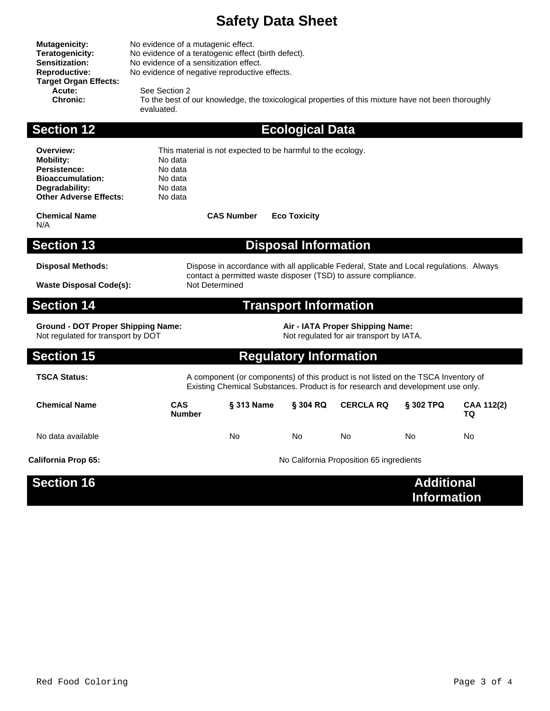**Mutagenicity:** No evidence of a mutagenic effect.

| <b>Teratogenicity:</b><br><b>Sensitization:</b><br>Reproductive:<br><b>Target Organ Effects:</b><br>Acute:<br><b>Chronic:</b>      | No evidence of a teratogenic effect (birth defect).<br>No evidence of a sensitization effect.<br>No evidence of negative reproductive effects.<br>See Section 2<br>To the best of our knowledge, the toxicological properties of this mixture have not been thoroughly<br>evaluated. |                                                             |                               |                                                                              |                                         |                  |
|------------------------------------------------------------------------------------------------------------------------------------|--------------------------------------------------------------------------------------------------------------------------------------------------------------------------------------------------------------------------------------------------------------------------------------|-------------------------------------------------------------|-------------------------------|------------------------------------------------------------------------------|-----------------------------------------|------------------|
| <b>Section 12</b>                                                                                                                  |                                                                                                                                                                                                                                                                                      |                                                             | <b>Ecological Data</b>        |                                                                              |                                         |                  |
| Overview:<br><b>Mobility:</b><br><b>Persistence:</b><br><b>Bioaccumulation:</b><br>Degradability:<br><b>Other Adverse Effects:</b> | No data<br>No data<br>No data<br>No data<br>No data                                                                                                                                                                                                                                  | This material is not expected to be harmful to the ecology. |                               |                                                                              |                                         |                  |
| <b>Chemical Name</b><br>N/A                                                                                                        |                                                                                                                                                                                                                                                                                      | <b>CAS Number</b>                                           | <b>Eco Toxicity</b>           |                                                                              |                                         |                  |
| <b>Section 13</b>                                                                                                                  |                                                                                                                                                                                                                                                                                      |                                                             | <b>Disposal Information</b>   |                                                                              |                                         |                  |
| <b>Disposal Methods:</b><br><b>Waste Disposal Code(s):</b>                                                                         | Dispose in accordance with all applicable Federal, State and Local regulations. Always<br>contact a permitted waste disposer (TSD) to assure compliance.<br>Not Determined                                                                                                           |                                                             |                               |                                                                              |                                         |                  |
| <b>Section 14</b>                                                                                                                  |                                                                                                                                                                                                                                                                                      |                                                             | <b>Transport Information</b>  |                                                                              |                                         |                  |
| <b>Ground - DOT Proper Shipping Name:</b><br>Not regulated for transport by DOT                                                    |                                                                                                                                                                                                                                                                                      |                                                             |                               | Air - IATA Proper Shipping Name:<br>Not regulated for air transport by IATA. |                                         |                  |
| <b>Section 15</b>                                                                                                                  |                                                                                                                                                                                                                                                                                      |                                                             | <b>Regulatory Information</b> |                                                                              |                                         |                  |
| <b>TSCA Status:</b>                                                                                                                | A component (or components) of this product is not listed on the TSCA Inventory of<br>Existing Chemical Substances. Product is for research and development use only.                                                                                                                |                                                             |                               |                                                                              |                                         |                  |
| <b>Chemical Name</b>                                                                                                               | <b>CAS</b><br><b>Number</b>                                                                                                                                                                                                                                                          | § 313 Name                                                  | $\S$ 304 RQ                   | <b>CERCLA RQ</b>                                                             | $§$ 302 TPQ                             | CAA 112(2)<br>TQ |
| No data available                                                                                                                  |                                                                                                                                                                                                                                                                                      | No.                                                         | <b>No</b>                     | No                                                                           | No.                                     | No               |
| <b>California Prop 65:</b>                                                                                                         |                                                                                                                                                                                                                                                                                      |                                                             |                               | No California Proposition 65 ingredients                                     |                                         |                  |
| <b>Section 16</b>                                                                                                                  |                                                                                                                                                                                                                                                                                      |                                                             |                               |                                                                              | <b>Additional</b><br><b>Information</b> |                  |